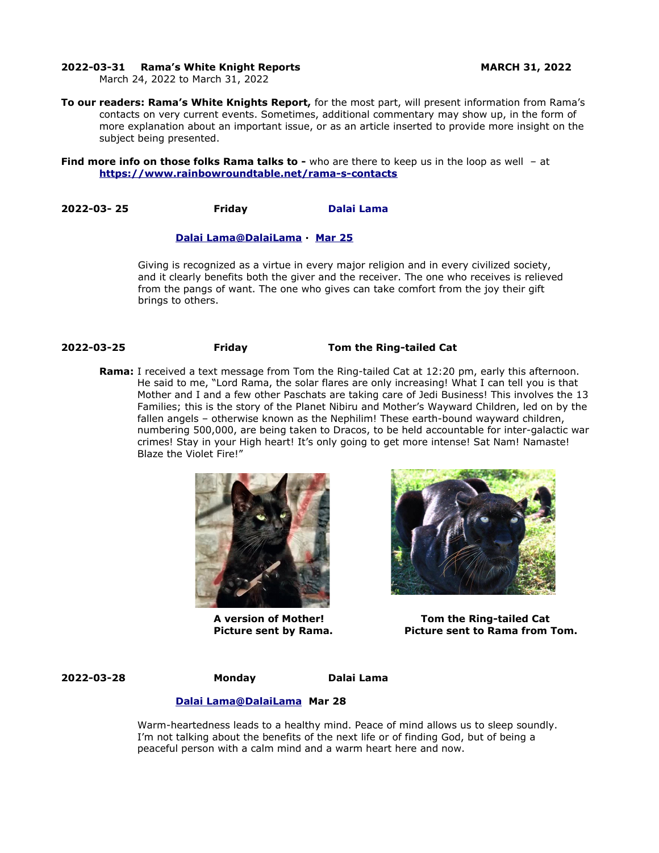### **2022-03-31 Rama's White Knight Reports MARCH 31, 2022**

March 24, 2022 to March 31, 2022

**To our readers: Rama's White Knights Report,** for the most part, will present information from Rama's contacts on very current events. Sometimes, additional commentary may show up, in the form of more explanation about an important issue, or as an article inserted to provide more insight on the subject being presented.

**Find more info on those folks Rama talks to -** who are there to keep us in the loop as well - at **<https://www.rainbowroundtable.net/rama-s-contacts>**

**2022-03- 25 Friday [Dalai Lama](https://twitter.com/DalaiLama)**

### **[Dalai](https://twitter.com/DalaiLama) [Lama @DalaiLama](mailto:Lama@DalaiLama) · [Mar 25](https://twitter.com/DalaiLama/status/1507288708198076417)**

Giving is recognized as a virtue in every major religion and in every civilized society, and it clearly benefits both the giver and the receiver. The one who receives is relieved from the pangs of want. The one who gives can take comfort from the joy their gift brings to others.

### **2022-03-25 Friday Tom the Ring-tailed Cat**

**Rama:** I received a text message from Tom the Ring-tailed Cat at 12:20 pm, early this afternoon. He said to me, "Lord Rama, the solar flares are only increasing! What I can tell you is that Mother and I and a few other Paschats are taking care of Jedi Business! This involves the 13 Families; this is the story of the Planet Nibiru and Mother's Wayward Children, led on by the fallen angels – otherwise known as the Nephilim! These earth-bound wayward children, numbering 500,000, are being taken to Dracos, to be held accountable for inter-galactic war crimes! Stay in your High heart! It's only going to get more intense! Sat Nam! Namaste! Blaze the Violet Fire!"





**A version of Mother! Tom the Ring-tailed Cat Picture sent by Rama. Picture sent to Rama from Tom.**

**2022-03-28 Monday Dalai Lama**

### **[Dalai](https://twitter.com/DalaiLama) [Lama@DalaiLama](mailto:Lama@DalaiLama) Mar 28**

Warm-heartedness leads to a healthy mind. Peace of mind allows us to sleep soundly. I'm not talking about the benefits of the next life or of finding God, but of being a peaceful person with a calm mind and a warm heart here and now.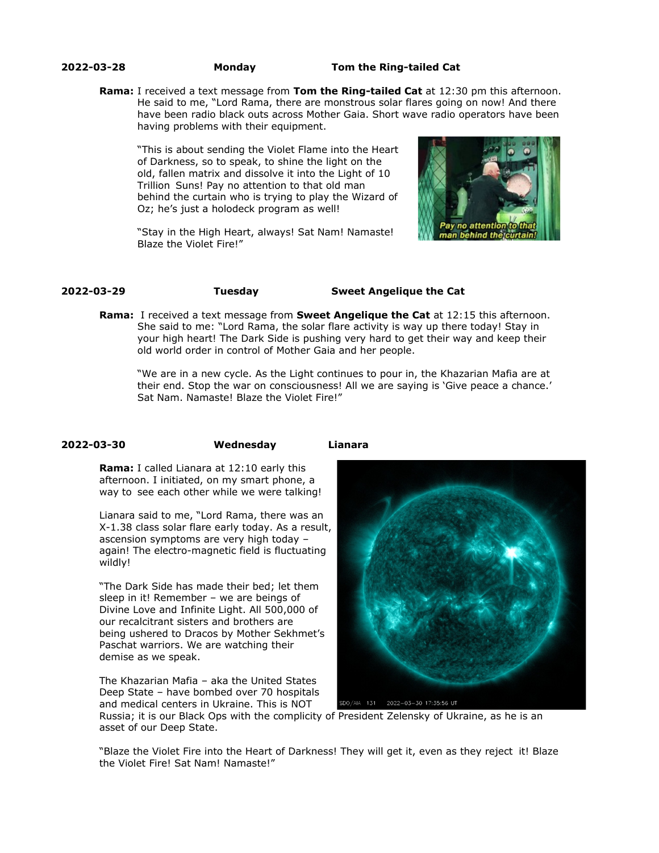**2022-03-28 Monday Tom the Ring-tailed Cat**

**Rama:** I received a text message from **Tom the Ring-tailed Cat** at 12:30 pm this afternoon. He said to me, "Lord Rama, there are monstrous solar flares going on now! And there have been radio black outs across Mother Gaia. Short wave radio operators have been having problems with their equipment.

"This is about sending the Violet Flame into the Heart of Darkness, so to speak, to shine the light on the old, fallen matrix and dissolve it into the Light of 10 Trillion Suns! Pay no attention to that old man behind the curtain who is trying to play the Wizard of Oz; he's just a holodeck program as well!





# **2022-03-29 Tuesday Sweet Angelique the Cat**

**Rama:** I received a text message from **Sweet Angelique the Cat** at 12:15 this afternoon. She said to me: "Lord Rama, the solar flare activity is way up there today! Stay in your high heart! The Dark Side is pushing very hard to get their way and keep their old world order in control of Mother Gaia and her people.

"We are in a new cycle. As the Light continues to pour in, the Khazarian Mafia are at their end. Stop the war on consciousness! All we are saying is 'Give peace a chance.' Sat Nam. Namaste! Blaze the Violet Fire!"

### **2022-03-30 Wednesday Lianara**

**Rama:** I called Lianara at 12:10 early this afternoon. I initiated, on my smart phone, a way to see each other while we were talking!

Lianara said to me, "Lord Rama, there was an X-1.38 class solar flare early today. As a result, ascension symptoms are very high today – again! The electro-magnetic field is fluctuating wildly!

"The Dark Side has made their bed; let them sleep in it! Remember – we are beings of Divine Love and Infinite Light. All 500,000 of our recalcitrant sisters and brothers are being ushered to Dracos by Mother Sekhmet's Paschat warriors. We are watching their demise as we speak.

The Khazarian Mafia – aka the United States Deep State – have bombed over 70 hospitals and medical centers in Ukraine. This is NOT



SDO/AIA 131 2022-03-30 17:35:56 UT

Russia; it is our Black Ops with the complicity of President Zelensky of Ukraine, as he is an asset of our Deep State.

"Blaze the Violet Fire into the Heart of Darkness! They will get it, even as they reject it! Blaze the Violet Fire! Sat Nam! Namaste!"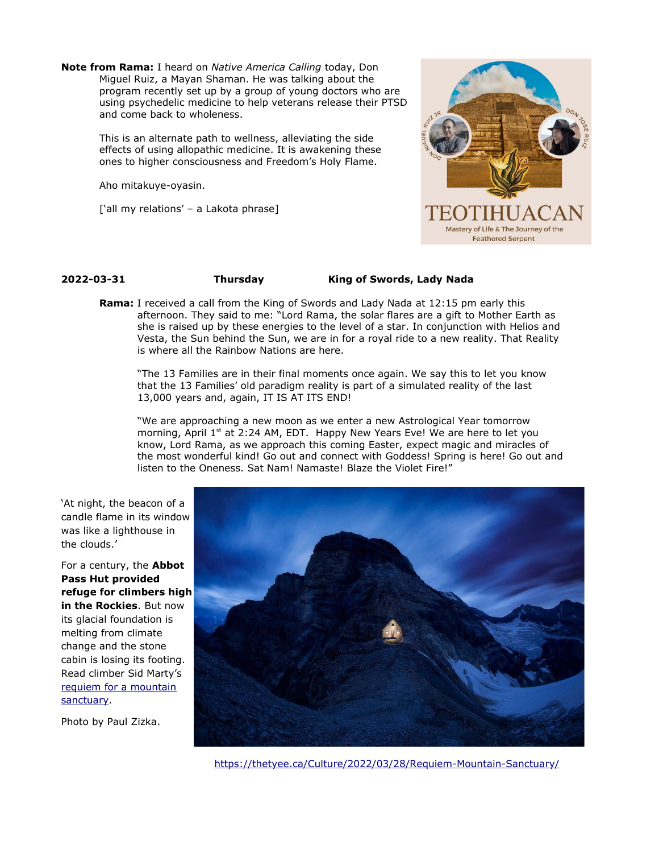**Note from Rama:** I heard on *Native America Calling* today, Don Miguel Ruiz, a Mayan Shaman. He was talking about the program recently set up by a group of young doctors who are using psychedelic medicine to help veterans release their PTSD and come back to wholeness.

> This is an alternate path to wellness, alleviating the side effects of using allopathic medicine. It is awakening these ones to higher consciousness and Freedom's Holy Flame.

Aho mitakuye-oyasin.

['all my relations' - a Lakota phrase]



## **2022-03-31 Thursday King of Swords, Lady Nada**

**Rama:** I received a call from the King of Swords and Lady Nada at 12:15 pm early this afternoon. They said to me: "Lord Rama, the solar flares are a gift to Mother Earth as she is raised up by these energies to the level of a star. In conjunction with Helios and Vesta, the Sun behind the Sun, we are in for a royal ride to a new reality. That Reality is where all the Rainbow Nations are here.

"The 13 Families are in their final moments once again. We say this to let you know that the 13 Families' old paradigm reality is part of a simulated reality of the last 13,000 years and, again, IT IS AT ITS END!

"We are approaching a new moon as we enter a new Astrological Year tomorrow morning, April 1<sup>st</sup> at 2:24 AM, EDT. Happy New Years Eve! We are here to let you know, Lord Rama, as we approach this coming Easter, expect magic and miracles of the most wonderful kind! Go out and connect with Goddess! Spring is here! Go out and listen to the Oneness. Sat Nam! Namaste! Blaze the Violet Fire!"

'At night, the beacon of a candle flame in its window was like a lighthouse in the clouds.'

For a century, the **Abbot Pass Hut provided refuge for climbers high in the Rockies**. But now its glacial foundation is melting from climate change and the stone cabin is losing its footing. Read climber Sid Marty's [requiem for a mountain](https://go.thetyee.ca/t?r=3685&c=43884&l=90&ctl=BEB42:A361EF78DAC1FA97F896C958262242A767ADE39EE60F83FA&) [sanctuary](https://go.thetyee.ca/t?r=3685&c=43884&l=90&ctl=BEB42:A361EF78DAC1FA97F896C958262242A767ADE39EE60F83FA&).

Photo by Paul Zizka.



<https://thetyee.ca/Culture/2022/03/28/Requiem-Mountain-Sanctuary/>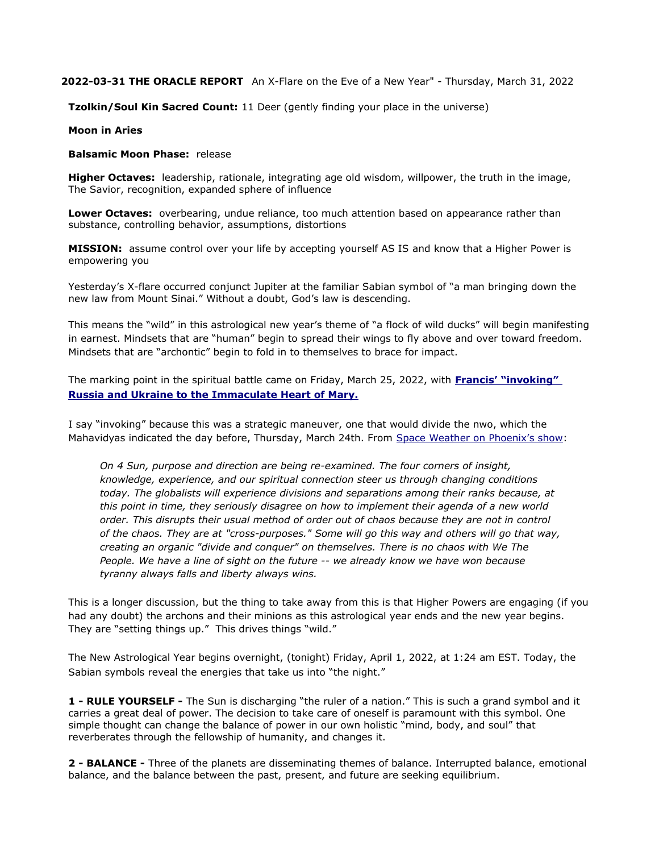### **2022-03-31 THE ORACLE REPORT** An X-Flare on the Eve of a New Year" - Thursday, March 31, 2022

**Tzolkin/Soul Kin Sacred Count:** 11 Deer (gently finding your place in the universe)

### **Moon in Aries**

### **Balsamic Moon Phase:** release

**Higher Octaves:** leadership, rationale, integrating age old wisdom, willpower, the truth in the image, The Savior, recognition, expanded sphere of influence

**Lower Octaves:** overbearing, undue reliance, too much attention based on appearance rather than substance, controlling behavior, assumptions, distortions

**MISSION:** assume control over your life by accepting yourself AS IS and know that a Higher Power is empowering you

Yesterday's X-flare occurred conjunct Jupiter at the familiar Sabian symbol of "a man bringing down the new law from Mount Sinai." Without a doubt, God's law is descending.

This means the "wild" in this astrological new year's theme of "a flock of wild ducks" will begin manifesting in earnest. Mindsets that are "human" begin to spread their wings to fly above and over toward freedom. Mindsets that are "archontic" begin to fold in to themselves to brace for impact.

The marking point in the spiritual battle came on Friday, March 25, 2022, with **[Francis' "invoking"](https://ning.us14.list-manage.com/track/click?u=dffe88256521801aa822ffdd9&id=1a438101c7&e=1395d6c5fa)  [Russia and Ukraine to the Immaculate Heart of Mary.](https://ning.us14.list-manage.com/track/click?u=dffe88256521801aa822ffdd9&id=1a438101c7&e=1395d6c5fa)**

I say "invoking" because this was a strategic maneuver, one that would divide the nwo, which the Mahavidyas indicated the day before, Thursday, March 24th. From [Space Weather on Phoenix's show](https://ning.us14.list-manage.com/track/click?u=dffe88256521801aa822ffdd9&id=113f89341e&e=1395d6c5fa):

*On 4 Sun, purpose and direction are being re-examined. The four corners of insight, knowledge, experience, and our spiritual connection steer us through changing conditions today. The globalists will experience divisions and separations among their ranks because, at this point in time, they seriously disagree on how to implement their agenda of a new world order. This disrupts their usual method of order out of chaos because they are not in control of the chaos. They are at "cross-purposes." Some will go this way and others will go that way, creating an organic "divide and conquer" on themselves. There is no chaos with We The People. We have a line of sight on the future -- we already know we have won because tyranny always falls and liberty always wins.*

This is a longer discussion, but the thing to take away from this is that Higher Powers are engaging (if you had any doubt) the archons and their minions as this astrological year ends and the new year begins. They are "setting things up." This drives things "wild."

The New Astrological Year begins overnight, (tonight) Friday, April 1, 2022, at 1:24 am EST. Today, the Sabian symbols reveal the energies that take us into "the night."

**1 - RULE YOURSELF -** The Sun is discharging "the ruler of a nation." This is such a grand symbol and it carries a great deal of power. The decision to take care of oneself is paramount with this symbol. One simple thought can change the balance of power in our own holistic "mind, body, and soul" that reverberates through the fellowship of humanity, and changes it.

**2 - BALANCE -** Three of the planets are disseminating themes of balance. Interrupted balance, emotional balance, and the balance between the past, present, and future are seeking equilibrium.